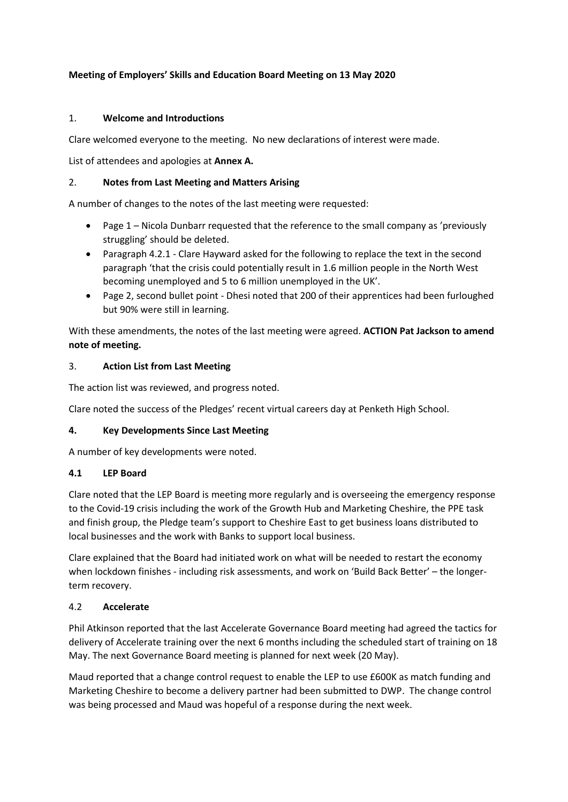# **Meeting of Employers' Skills and Education Board Meeting on 13 May 2020**

# 1. **Welcome and Introductions**

Clare welcomed everyone to the meeting. No new declarations of interest were made.

List of attendees and apologies at **Annex A.**

## 2. **Notes from Last Meeting and Matters Arising**

A number of changes to the notes of the last meeting were requested:

- Page 1 Nicola Dunbarr requested that the reference to the small company as 'previously struggling' should be deleted.
- Paragraph 4.2.1 Clare Hayward asked for the following to replace the text in the second paragraph 'that the crisis could potentially result in 1.6 million people in the North West becoming unemployed and 5 to 6 million unemployed in the UK'.
- Page 2, second bullet point Dhesi noted that 200 of their apprentices had been furloughed but 90% were still in learning.

With these amendments, the notes of the last meeting were agreed. **ACTION Pat Jackson to amend note of meeting.**

## 3. **Action List from Last Meeting**

The action list was reviewed, and progress noted.

Clare noted the success of the Pledges' recent virtual careers day at Penketh High School.

#### **4. Key Developments Since Last Meeting**

A number of key developments were noted.

# **4.1 LEP Board**

Clare noted that the LEP Board is meeting more regularly and is overseeing the emergency response to the Covid-19 crisis including the work of the Growth Hub and Marketing Cheshire, the PPE task and finish group, the Pledge team's support to Cheshire East to get business loans distributed to local businesses and the work with Banks to support local business.

Clare explained that the Board had initiated work on what will be needed to restart the economy when lockdown finishes - including risk assessments, and work on 'Build Back Better' - the longerterm recovery.

#### 4.2 **Accelerate**

Phil Atkinson reported that the last Accelerate Governance Board meeting had agreed the tactics for delivery of Accelerate training over the next 6 months including the scheduled start of training on 18 May. The next Governance Board meeting is planned for next week (20 May).

Maud reported that a change control request to enable the LEP to use £600K as match funding and Marketing Cheshire to become a delivery partner had been submitted to DWP. The change control was being processed and Maud was hopeful of a response during the next week.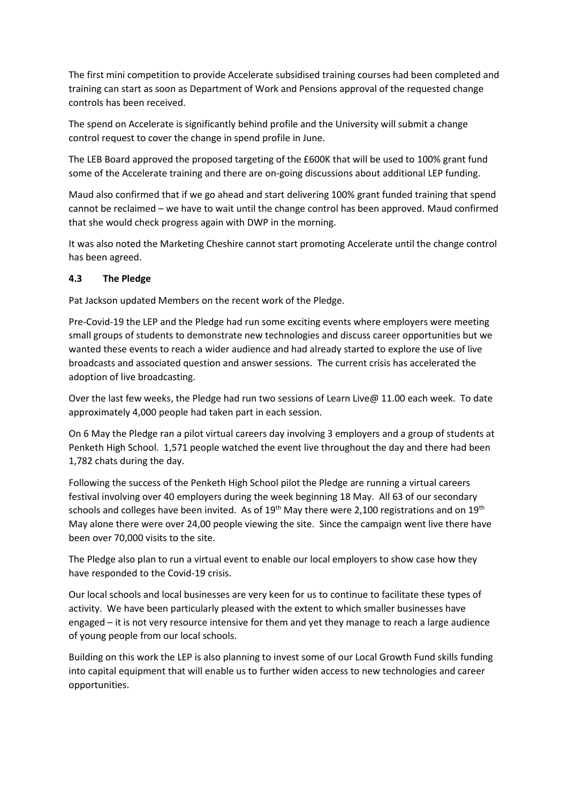The first mini competition to provide Accelerate subsidised training courses had been completed and training can start as soon as Department of Work and Pensions approval of the requested change controls has been received.

The spend on Accelerate is significantly behind profile and the University will submit a change control request to cover the change in spend profile in June.

The LEB Board approved the proposed targeting of the £600K that will be used to 100% grant fund some of the Accelerate training and there are on-going discussions about additional LEP funding.

Maud also confirmed that if we go ahead and start delivering 100% grant funded training that spend cannot be reclaimed – we have to wait until the change control has been approved. Maud confirmed that she would check progress again with DWP in the morning.

It was also noted the Marketing Cheshire cannot start promoting Accelerate until the change control has been agreed.

# **4.3 The Pledge**

Pat Jackson updated Members on the recent work of the Pledge.

Pre-Covid-19 the LEP and the Pledge had run some exciting events where employers were meeting small groups of students to demonstrate new technologies and discuss career opportunities but we wanted these events to reach a wider audience and had already started to explore the use of live broadcasts and associated question and answer sessions. The current crisis has accelerated the adoption of live broadcasting.

Over the last few weeks, the Pledge had run two sessions of Learn Live@ 11.00 each week. To date approximately 4,000 people had taken part in each session.

On 6 May the Pledge ran a pilot virtual careers day involving 3 employers and a group of students at Penketh High School. 1,571 people watched the event live throughout the day and there had been 1,782 chats during the day.

Following the success of the Penketh High School pilot the Pledge are running a virtual careers festival involving over 40 employers during the week beginning 18 May. All 63 of our secondary schools and colleges have been invited. As of  $19<sup>th</sup>$  May there were 2,100 registrations and on  $19<sup>th</sup>$ May alone there were over 24,00 people viewing the site. Since the campaign went live there have been over 70,000 visits to the site.

The Pledge also plan to run a virtual event to enable our local employers to show case how they have responded to the Covid-19 crisis.

Our local schools and local businesses are very keen for us to continue to facilitate these types of activity. We have been particularly pleased with the extent to which smaller businesses have engaged – it is not very resource intensive for them and yet they manage to reach a large audience of young people from our local schools.

Building on this work the LEP is also planning to invest some of our Local Growth Fund skills funding into capital equipment that will enable us to further widen access to new technologies and career opportunities.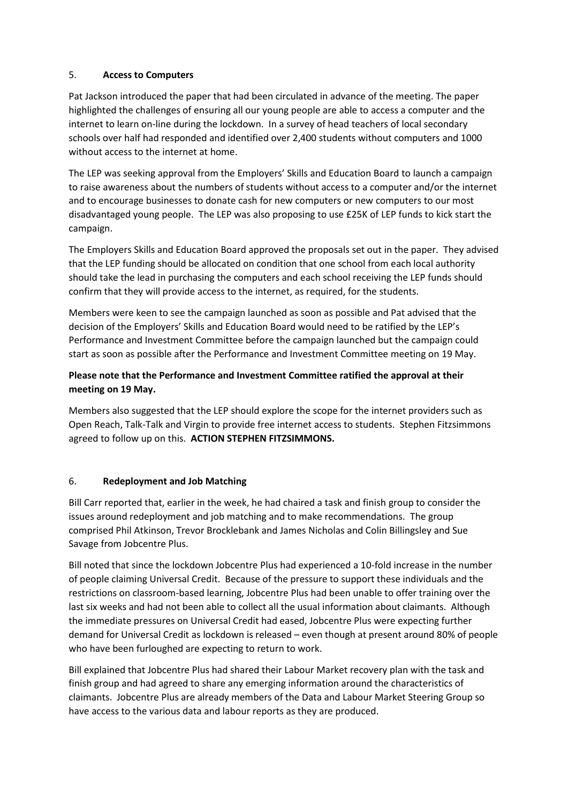# 5. **Access to Computers**

Pat Jackson introduced the paper that had been circulated in advance of the meeting. The paper highlighted the challenges of ensuring all our young people are able to access a computer and the internet to learn on-line during the lockdown. In a survey of head teachers of local secondary schools over half had responded and identified over 2,400 students without computers and 1000 without access to the internet at home.

The LEP was seeking approval from the Employers' Skills and Education Board to launch a campaign to raise awareness about the numbers of students without access to a computer and/or the internet and to encourage businesses to donate cash for new computers or new computers to our most disadvantaged young people. The LEP was also proposing to use £25K of LEP funds to kick start the campaign.

The Employers Skills and Education Board approved the proposals set out in the paper. They advised that the LEP funding should be allocated on condition that one school from each local authority should take the lead in purchasing the computers and each school receiving the LEP funds should confirm that they will provide access to the internet, as required, for the students.

Members were keen to see the campaign launched as soon as possible and Pat advised that the decision of the Employers' Skills and Education Board would need to be ratified by the LEP's Performance and Investment Committee before the campaign launched but the campaign could start as soon as possible after the Performance and Investment Committee meeting on 19 May.

# **Please note that the Performance and Investment Committee ratified the approval at their meeting on 19 May.**

Members also suggested that the LEP should explore the scope for the internet providers such as Open Reach, Talk-Talk and Virgin to provide free internet access to students. Stephen Fitzsimmons agreed to follow up on this. **ACTION STEPHEN FITZSIMMONS.** 

# 6. **Redeployment and Job Matching**

Bill Carr reported that, earlier in the week, he had chaired a task and finish group to consider the issues around redeployment and job matching and to make recommendations. The group comprised Phil Atkinson, Trevor Brocklebank and James Nicholas and Colin Billingsley and Sue Savage from Jobcentre Plus.

Bill noted that since the lockdown Jobcentre Plus had experienced a 10-fold increase in the number of people claiming Universal Credit. Because of the pressure to support these individuals and the restrictions on classroom-based learning, Jobcentre Plus had been unable to offer training over the last six weeks and had not been able to collect all the usual information about claimants. Although the immediate pressures on Universal Credit had eased, Jobcentre Plus were expecting further demand for Universal Credit as lockdown is released – even though at present around 80% of people who have been furloughed are expecting to return to work.

Bill explained that Jobcentre Plus had shared their Labour Market recovery plan with the task and finish group and had agreed to share any emerging information around the characteristics of claimants. Jobcentre Plus are already members of the Data and Labour Market Steering Group so have access to the various data and labour reports as they are produced.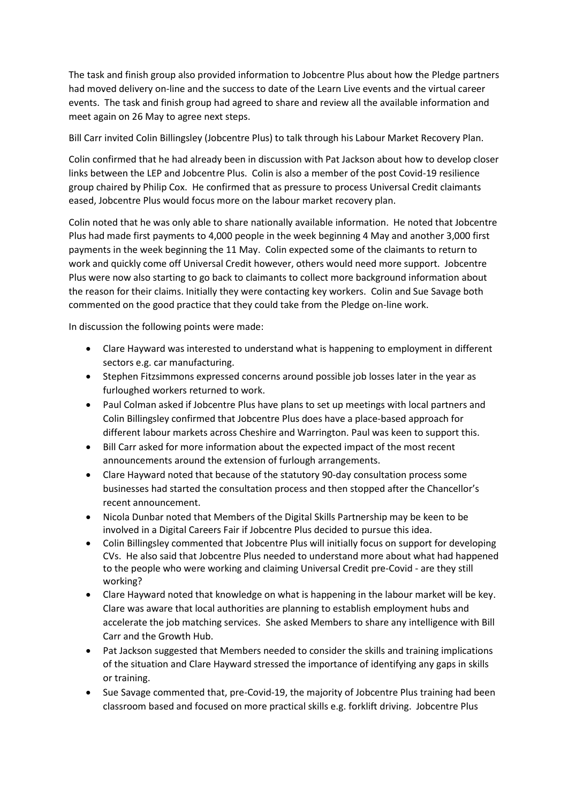The task and finish group also provided information to Jobcentre Plus about how the Pledge partners had moved delivery on-line and the success to date of the Learn Live events and the virtual career events. The task and finish group had agreed to share and review all the available information and meet again on 26 May to agree next steps.

Bill Carr invited Colin Billingsley (Jobcentre Plus) to talk through his Labour Market Recovery Plan.

Colin confirmed that he had already been in discussion with Pat Jackson about how to develop closer links between the LEP and Jobcentre Plus. Colin is also a member of the post Covid-19 resilience group chaired by Philip Cox. He confirmed that as pressure to process Universal Credit claimants eased, Jobcentre Plus would focus more on the labour market recovery plan.

Colin noted that he was only able to share nationally available information. He noted that Jobcentre Plus had made first payments to 4,000 people in the week beginning 4 May and another 3,000 first payments in the week beginning the 11 May. Colin expected some of the claimants to return to work and quickly come off Universal Credit however, others would need more support. Jobcentre Plus were now also starting to go back to claimants to collect more background information about the reason for their claims. Initially they were contacting key workers. Colin and Sue Savage both commented on the good practice that they could take from the Pledge on-line work.

In discussion the following points were made:

- Clare Hayward was interested to understand what is happening to employment in different sectors e.g. car manufacturing.
- Stephen Fitzsimmons expressed concerns around possible job losses later in the year as furloughed workers returned to work.
- Paul Colman asked if Jobcentre Plus have plans to set up meetings with local partners and Colin Billingsley confirmed that Jobcentre Plus does have a place-based approach for different labour markets across Cheshire and Warrington. Paul was keen to support this.
- Bill Carr asked for more information about the expected impact of the most recent announcements around the extension of furlough arrangements.
- Clare Hayward noted that because of the statutory 90-day consultation process some businesses had started the consultation process and then stopped after the Chancellor's recent announcement.
- Nicola Dunbar noted that Members of the Digital Skills Partnership may be keen to be involved in a Digital Careers Fair if Jobcentre Plus decided to pursue this idea.
- Colin Billingsley commented that Jobcentre Plus will initially focus on support for developing CVs. He also said that Jobcentre Plus needed to understand more about what had happened to the people who were working and claiming Universal Credit pre-Covid - are they still working?
- Clare Hayward noted that knowledge on what is happening in the labour market will be key. Clare was aware that local authorities are planning to establish employment hubs and accelerate the job matching services. She asked Members to share any intelligence with Bill Carr and the Growth Hub.
- Pat Jackson suggested that Members needed to consider the skills and training implications of the situation and Clare Hayward stressed the importance of identifying any gaps in skills or training.
- Sue Savage commented that, pre-Covid-19, the majority of Jobcentre Plus training had been classroom based and focused on more practical skills e.g. forklift driving. Jobcentre Plus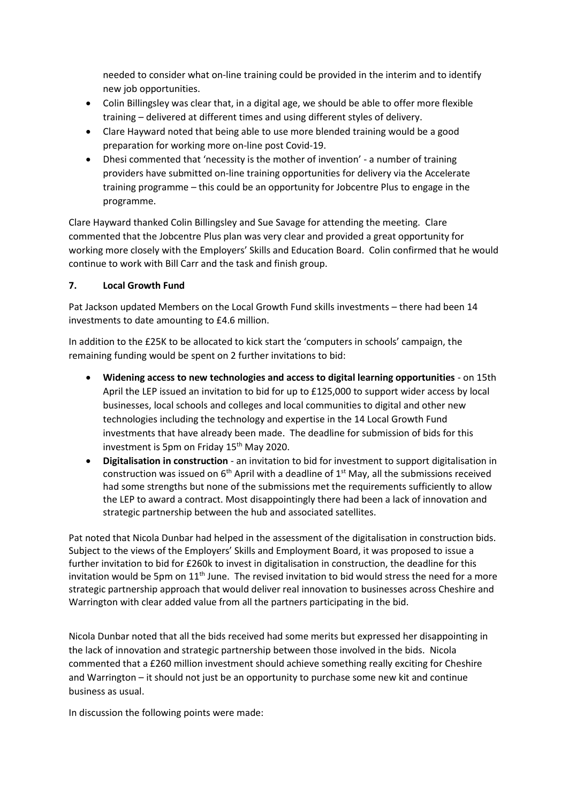needed to consider what on-line training could be provided in the interim and to identify new job opportunities.

- Colin Billingsley was clear that, in a digital age, we should be able to offer more flexible training – delivered at different times and using different styles of delivery.
- Clare Hayward noted that being able to use more blended training would be a good preparation for working more on-line post Covid-19.
- Dhesi commented that 'necessity is the mother of invention' a number of training providers have submitted on-line training opportunities for delivery via the Accelerate training programme – this could be an opportunity for Jobcentre Plus to engage in the programme.

Clare Hayward thanked Colin Billingsley and Sue Savage for attending the meeting. Clare commented that the Jobcentre Plus plan was very clear and provided a great opportunity for working more closely with the Employers' Skills and Education Board. Colin confirmed that he would continue to work with Bill Carr and the task and finish group.

# **7. Local Growth Fund**

Pat Jackson updated Members on the Local Growth Fund skills investments – there had been 14 investments to date amounting to £4.6 million.

In addition to the £25K to be allocated to kick start the 'computers in schools' campaign, the remaining funding would be spent on 2 further invitations to bid:

- **Widening access to new technologies and access to digital learning opportunities** on 15th April the LEP issued an invitation to bid for up to £125,000 to support wider access by local businesses, local schools and colleges and local communities to digital and other new technologies including the technology and expertise in the 14 Local Growth Fund investments that have already been made. The deadline for submission of bids for this investment is 5pm on Friday 15<sup>th</sup> May 2020.
- **Digitalisation in construction** an invitation to bid for investment to support digitalisation in construction was issued on  $6<sup>th</sup>$  April with a deadline of  $1<sup>st</sup>$  May, all the submissions received had some strengths but none of the submissions met the requirements sufficiently to allow the LEP to award a contract. Most disappointingly there had been a lack of innovation and strategic partnership between the hub and associated satellites.

Pat noted that Nicola Dunbar had helped in the assessment of the digitalisation in construction bids. Subject to the views of the Employers' Skills and Employment Board, it was proposed to issue a further invitation to bid for £260k to invest in digitalisation in construction, the deadline for this invitation would be 5pm on  $11<sup>th</sup>$  June. The revised invitation to bid would stress the need for a more strategic partnership approach that would deliver real innovation to businesses across Cheshire and Warrington with clear added value from all the partners participating in the bid.

Nicola Dunbar noted that all the bids received had some merits but expressed her disappointing in the lack of innovation and strategic partnership between those involved in the bids. Nicola commented that a £260 million investment should achieve something really exciting for Cheshire and Warrington – it should not just be an opportunity to purchase some new kit and continue business as usual.

In discussion the following points were made: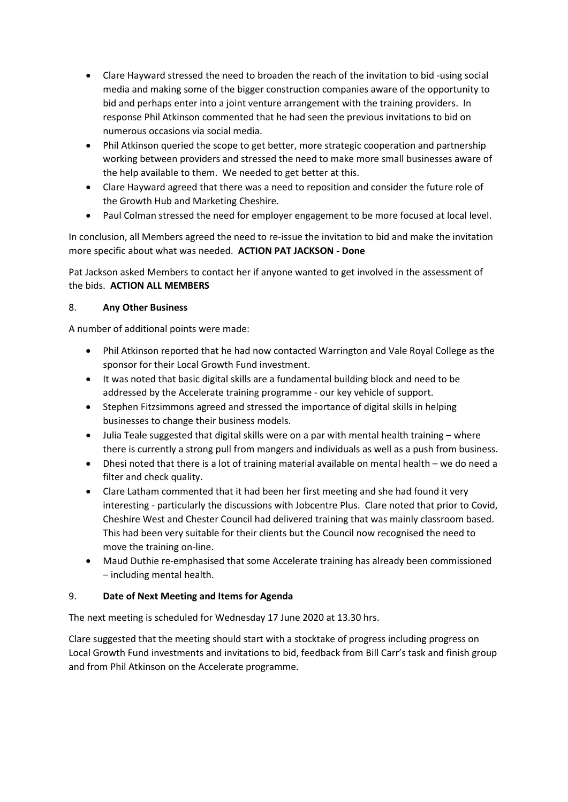- Clare Hayward stressed the need to broaden the reach of the invitation to bid -using social media and making some of the bigger construction companies aware of the opportunity to bid and perhaps enter into a joint venture arrangement with the training providers. In response Phil Atkinson commented that he had seen the previous invitations to bid on numerous occasions via social media.
- Phil Atkinson queried the scope to get better, more strategic cooperation and partnership working between providers and stressed the need to make more small businesses aware of the help available to them. We needed to get better at this.
- Clare Hayward agreed that there was a need to reposition and consider the future role of the Growth Hub and Marketing Cheshire.
- Paul Colman stressed the need for employer engagement to be more focused at local level.

In conclusion, all Members agreed the need to re-issue the invitation to bid and make the invitation more specific about what was needed. **ACTION PAT JACKSON - Done**

Pat Jackson asked Members to contact her if anyone wanted to get involved in the assessment of the bids. **ACTION ALL MEMBERS**

# 8. **Any Other Business**

A number of additional points were made:

- Phil Atkinson reported that he had now contacted Warrington and Vale Royal College as the sponsor for their Local Growth Fund investment.
- It was noted that basic digital skills are a fundamental building block and need to be addressed by the Accelerate training programme - our key vehicle of support.
- Stephen Fitzsimmons agreed and stressed the importance of digital skills in helping businesses to change their business models.
- Julia Teale suggested that digital skills were on a par with mental health training where there is currently a strong pull from mangers and individuals as well as a push from business.
- Dhesi noted that there is a lot of training material available on mental health we do need a filter and check quality.
- Clare Latham commented that it had been her first meeting and she had found it very interesting - particularly the discussions with Jobcentre Plus. Clare noted that prior to Covid, Cheshire West and Chester Council had delivered training that was mainly classroom based. This had been very suitable for their clients but the Council now recognised the need to move the training on-line.
- Maud Duthie re-emphasised that some Accelerate training has already been commissioned – including mental health.

# 9. **Date of Next Meeting and Items for Agenda**

The next meeting is scheduled for Wednesday 17 June 2020 at 13.30 hrs.

Clare suggested that the meeting should start with a stocktake of progress including progress on Local Growth Fund investments and invitations to bid, feedback from Bill Carr's task and finish group and from Phil Atkinson on the Accelerate programme.